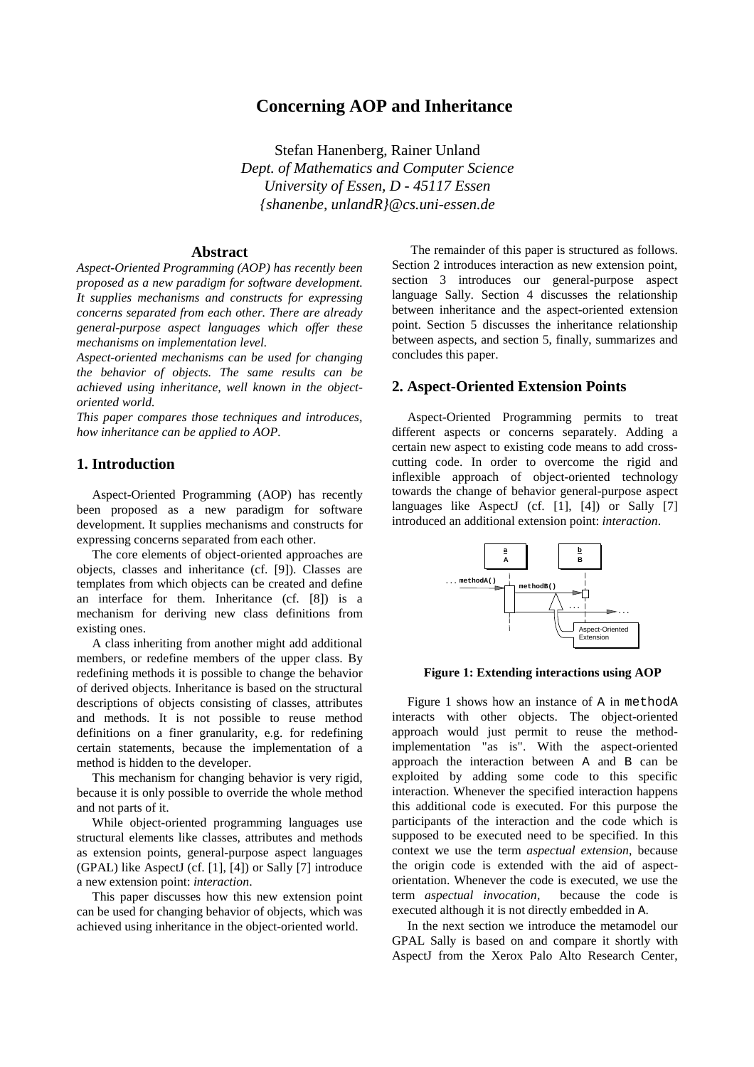# **Concerning AOP and Inheritance**

Stefan Hanenberg, Rainer Unland *Dept. of Mathematics and Computer Science University of Essen, D - 45117 Essen {shanenbe, unlandR}@cs.uni-essen.de*

## **Abstract**

*Aspect-Oriented Programming (AOP) has recently been proposed as a new paradigm for software development. It supplies mechanisms and constructs for expressing concerns separated from each other. There are already general-purpose aspect languages which offer these mechanisms on implementation level.*

*Aspect-oriented mechanisms can be used for changing the behavior of objects. The same results can be achieved using inheritance, well known in the objectoriented world.*

*This paper compares those techniques and introduces, how inheritance can be applied to AOP.*

## **1. Introduction**

Aspect-Oriented Programming (AOP) has recently been proposed as a new paradigm for software development. It supplies mechanisms and constructs for expressing concerns separated from each other.

The core elements of object-oriented approaches are objects, classes and inheritance (cf. [9]). Classes are templates from which objects can be created and define an interface for them. Inheritance (cf. [8]) is a mechanism for deriving new class definitions from existing ones.

A class inheriting from another might add additional members, or redefine members of the upper class. By redefining methods it is possible to change the behavior of derived objects. Inheritance is based on the structural descriptions of objects consisting of classes, attributes and methods. It is not possible to reuse method definitions on a finer granularity, e.g. for redefining certain statements, because the implementation of a method is hidden to the developer.

This mechanism for changing behavior is very rigid, because it is only possible to override the whole method and not parts of it.

While object-oriented programming languages use structural elements like classes, attributes and methods as extension points, general-purpose aspect languages (GPAL) like AspectJ (cf. [1], [4]) or Sally [7] introduce a new extension point: *interaction*.

This paper discusses how this new extension point can be used for changing behavior of objects, which was achieved using inheritance in the object-oriented world.

 The remainder of this paper is structured as follows. Section 2 introduces interaction as new extension point, section 3 introduces our general-purpose aspect language Sally. Section 4 discusses the relationship between inheritance and the aspect-oriented extension point. Section 5 discusses the inheritance relationship between aspects, and section 5, finally, summarizes and concludes this paper.

## **2. Aspect-Oriented Extension Points**

Aspect-Oriented Programming permits to treat different aspects or concerns separately. Adding a certain new aspect to existing code means to add crosscutting code. In order to overcome the rigid and inflexible approach of object-oriented technology towards the change of behavior general-purpose aspect languages like AspectJ (cf. [1], [4]) or Sally [7] introduced an additional extension point: *interaction*.



**Figure 1: Extending interactions using AOP**

Figure 1 shows how an instance of A in methodA interacts with other objects. The object-oriented approach would just permit to reuse the methodimplementation "as is". With the aspect-oriented approach the interaction between A and B can be exploited by adding some code to this specific interaction. Whenever the specified interaction happens this additional code is executed. For this purpose the participants of the interaction and the code which is supposed to be executed need to be specified. In this context we use the term *aspectual extension*, because the origin code is extended with the aid of aspectorientation. Whenever the code is executed, we use the term *aspectual invocation*, because the code is executed although it is not directly embedded in A.

In the next section we introduce the metamodel our GPAL Sally is based on and compare it shortly with AspectJ from the Xerox Palo Alto Research Center,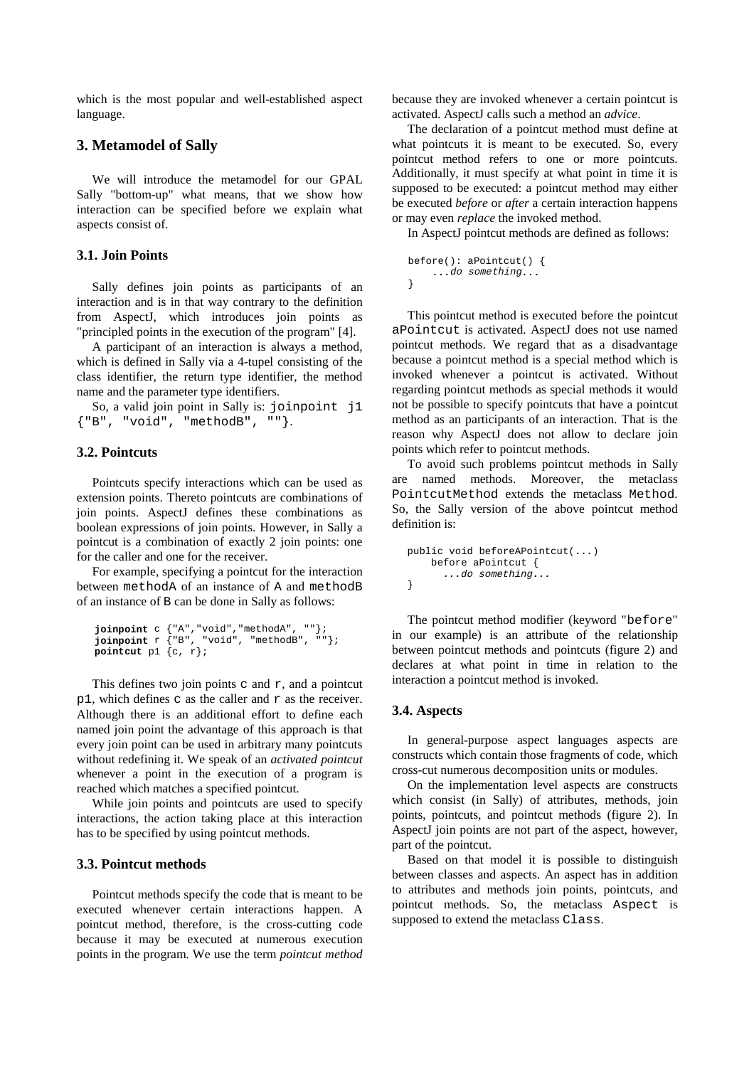which is the most popular and well-established aspect language.

# **3. Metamodel of Sally**

We will introduce the metamodel for our GPAL Sally "bottom-up" what means, that we show how interaction can be specified before we explain what aspects consist of.

### **3.1. Join Points**

Sally defines join points as participants of an interaction and is in that way contrary to the definition from AspectJ, which introduces join points as "principled points in the execution of the program" [4].

A participant of an interaction is always a method, which is defined in Sally via a 4-tupel consisting of the class identifier, the return type identifier, the method name and the parameter type identifiers.

So, a valid join point in Sally is: joinpoint j1 {"B", "void", "methodB", ""}.

## **3.2. Pointcuts**

Pointcuts specify interactions which can be used as extension points. Thereto pointcuts are combinations of join points. AspectJ defines these combinations as boolean expressions of join points. However, in Sally a pointcut is a combination of exactly 2 join points: one for the caller and one for the receiver.

For example, specifying a pointcut for the interaction between methodA of an instance of A and methodB of an instance of B can be done in Sally as follows:

```
joinpoint c {"A","void","methodA", ""};
joinpoint r {"B", "void", "methodB", ""};
pointcut p1 {c, r};
```
This defines two join points  $c$  and  $r$ , and a pointcut p1, which defines c as the caller and  $r$  as the receiver. Although there is an additional effort to define each named join point the advantage of this approach is that every join point can be used in arbitrary many pointcuts without redefining it. We speak of an *activated pointcut* whenever a point in the execution of a program is reached which matches a specified pointcut.

While join points and pointcuts are used to specify interactions, the action taking place at this interaction has to be specified by using pointcut methods.

### **3.3. Pointcut methods**

Pointcut methods specify the code that is meant to be executed whenever certain interactions happen. A pointcut method, therefore, is the cross-cutting code because it may be executed at numerous execution points in the program. We use the term *pointcut method* because they are invoked whenever a certain pointcut is activated. AspectJ calls such a method an *advice*.

The declaration of a pointcut method must define at what pointcuts it is meant to be executed. So, every pointcut method refers to one or more pointcuts. Additionally, it must specify at what point in time it is supposed to be executed: a pointcut method may either be executed *before* or *after* a certain interaction happens or may even *replace* the invoked method.

In AspectJ pointcut methods are defined as follows:

```
before(): aPointcut() {
     ...do something...
}
```
This pointcut method is executed before the pointcut aPointcut is activated. AspectJ does not use named pointcut methods. We regard that as a disadvantage because a pointcut method is a special method which is invoked whenever a pointcut is activated. Without regarding pointcut methods as special methods it would not be possible to specify pointcuts that have a pointcut method as an participants of an interaction. That is the reason why AspectJ does not allow to declare join points which refer to pointcut methods.

To avoid such problems pointcut methods in Sally are named methods. Moreover, the metaclass PointcutMethod extends the metaclass Method. So, the Sally version of the above pointcut method definition is:

```
public void beforeAPointcut(...)
     before aPointcut {
      ...do something...
}
```
The pointcut method modifier (keyword "before" in our example) is an attribute of the relationship between pointcut methods and pointcuts (figure 2) and declares at what point in time in relation to the interaction a pointcut method is invoked.

#### **3.4. Aspects**

In general-purpose aspect languages aspects are constructs which contain those fragments of code, which cross-cut numerous decomposition units or modules.

On the implementation level aspects are constructs which consist (in Sally) of attributes, methods, join points, pointcuts, and pointcut methods (figure 2). In AspectJ join points are not part of the aspect, however, part of the pointcut.

Based on that model it is possible to distinguish between classes and aspects. An aspect has in addition to attributes and methods join points, pointcuts, and pointcut methods. So, the metaclass Aspect is supposed to extend the metaclass Class.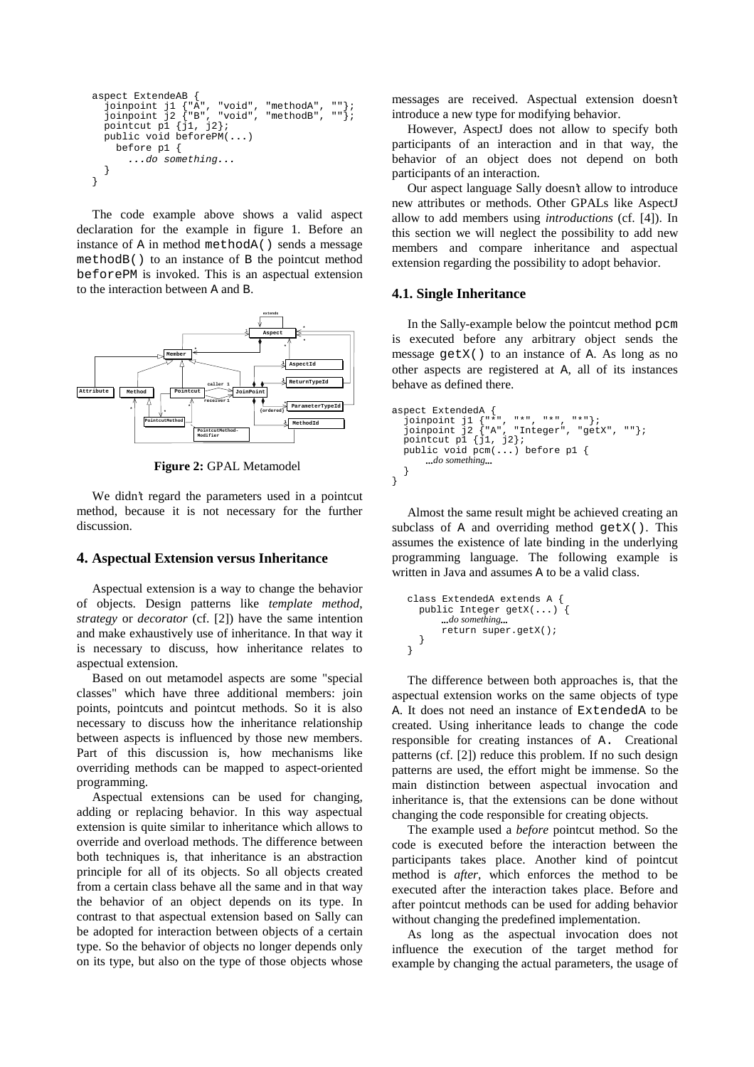```
aspect ExtendeAB {
  joinpoint j1 {"A", "void", "methodA", ""};<br>joinpoint j2 {"B", "void", "methodB", ""};<br>pointcut p1 {j1, j2};
    public void beforePM(...)
       before p1 {
          ...do something...
    }
}
```
The code example above shows a valid aspect declaration for the example in figure 1. Before an instance of A in method methodA() sends a message methodB() to an instance of B the pointcut method beforePM is invoked. This is an aspectual extension to the interaction between A and B.



**Figure 2:** GPAL Metamodel

We didn't regard the parameters used in a pointcut method, because it is not necessary for the further discussion.

#### **4. Aspectual Extension versus Inheritance**

Aspectual extension is a way to change the behavior of objects. Design patterns like *template method*, *strategy* or *decorator* (cf. [2]) have the same intention and make exhaustively use of inheritance. In that way it is necessary to discuss, how inheritance relates to aspectual extension.

Based on out metamodel aspects are some "special classes" which have three additional members: join points, pointcuts and pointcut methods. So it is also necessary to discuss how the inheritance relationship between aspects is influenced by those new members. Part of this discussion is, how mechanisms like overriding methods can be mapped to aspect-oriented programming.

Aspectual extensions can be used for changing, adding or replacing behavior. In this way aspectual extension is quite similar to inheritance which allows to override and overload methods. The difference between both techniques is, that inheritance is an abstraction principle for all of its objects. So all objects created from a certain class behave all the same and in that way the behavior of an object depends on its type. In contrast to that aspectual extension based on Sally can be adopted for interaction between objects of a certain type. So the behavior of objects no longer depends only on its type, but also on the type of those objects whose messages are received. Aspectual extension doesn't introduce a new type for modifying behavior.

However, AspectJ does not allow to specify both participants of an interaction and in that way, the behavior of an object does not depend on both participants of an interaction.

Our aspect language Sally doesn't allow to introduce new attributes or methods. Other GPALs like AspectJ allow to add members using *introductions* (cf. [4]). In this section we will neglect the possibility to add new members and compare inheritance and aspectual extension regarding the possibility to adopt behavior.

### **4.1. Single Inheritance**

In the Sally-example below the pointcut method pcm is executed before any arbitrary object sends the message getX() to an instance of A. As long as no other aspects are registered at A, all of its instances behave as defined there.

```
aspect ExtendedA {<br>
joinpoint j1 {"*", "*", "*", "*"};<br>
jointcut p1 {j1, j2};<br>
eintcut p1 {j1, j2};
    public void pcm(...) before p1 {
          ...do something...
    }
}
```
Almost the same result might be achieved creating an subclass of A and overriding method  $getX()$ . This assumes the existence of late binding in the underlying programming language. The following example is written in Java and assumes A to be a valid class.

```
class ExtendedA extends A {
  public Integer getX(...) {
      ...do something...
      return super.getX();
   }
}
```
The difference between both approaches is, that the aspectual extension works on the same objects of type A. It does not need an instance of ExtendedA to be created. Using inheritance leads to change the code responsible for creating instances of A. Creational patterns (cf. [2]) reduce this problem. If no such design patterns are used, the effort might be immense. So the main distinction between aspectual invocation and inheritance is, that the extensions can be done without changing the code responsible for creating objects.

The example used a *before* pointcut method. So the code is executed before the interaction between the participants takes place. Another kind of pointcut method is *after*, which enforces the method to be executed after the interaction takes place. Before and after pointcut methods can be used for adding behavior without changing the predefined implementation.

As long as the aspectual invocation does not influence the execution of the target method for example by changing the actual parameters, the usage of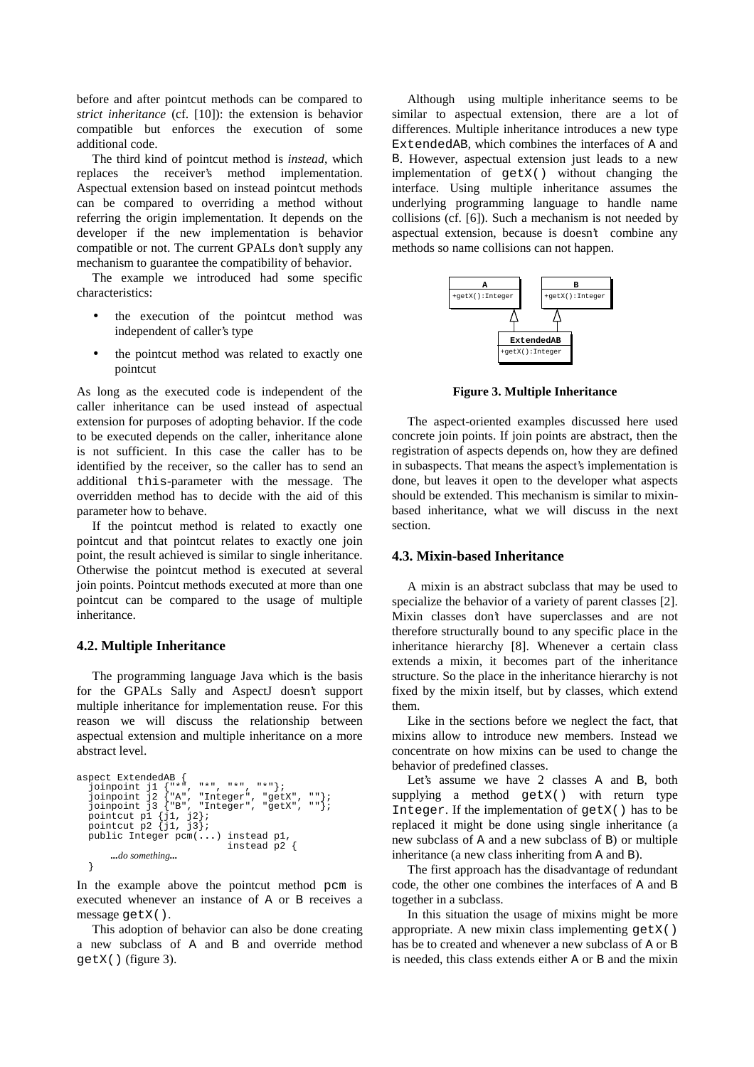before and after pointcut methods can be compared to *strict inheritance* (cf. [10]): the extension is behavior compatible but enforces the execution of some additional code.

The third kind of pointcut method is *instead*, which replaces the receiver's method implementation. Aspectual extension based on instead pointcut methods can be compared to overriding a method without referring the origin implementation. It depends on the developer if the new implementation is behavior compatible or not. The current GPALs don't supply any mechanism to guarantee the compatibility of behavior.

The example we introduced had some specific characteristics:

- the execution of the pointcut method was independent of caller's type
- the pointcut method was related to exactly one pointcut

As long as the executed code is independent of the caller inheritance can be used instead of aspectual extension for purposes of adopting behavior. If the code to be executed depends on the caller, inheritance alone is not sufficient. In this case the caller has to be identified by the receiver, so the caller has to send an additional this-parameter with the message. The overridden method has to decide with the aid of this parameter how to behave.

If the pointcut method is related to exactly one pointcut and that pointcut relates to exactly one join point, the result achieved is similar to single inheritance. Otherwise the pointcut method is executed at several join points. Pointcut methods executed at more than one pointcut can be compared to the usage of multiple inheritance.

#### **4.2. Multiple Inheritance**

The programming language Java which is the basis for the GPALs Sally and AspectJ doesn't support multiple inheritance for implementation reuse. For this reason we will discuss the relationship between aspectual extension and multiple inheritance on a more abstract level.

```
aspect ExtendedAB \{ ioinpoint il \{***joinpoint j1 {"*", "*", "*", "*"};<br>joinpoint j2 {"A", "Integer", "getX", ""};<br>joinpoint j3 {"B", "Integer", "getX", ""};<br>pointcut p1 {j1, j2};<br>pointcut p2 {j1, j3};
     public Integer pcm(...) instead p1,
                                                              instead p2 {
              ...do something...
   }
```
In the example above the pointcut method pcm is executed whenever an instance of A or B receives a message getX().

This adoption of behavior can also be done creating a new subclass of A and B and override method getX() (figure 3).

Although using multiple inheritance seems to be similar to aspectual extension, there are a lot of differences. Multiple inheritance introduces a new type ExtendedAB, which combines the interfaces of A and B. However, aspectual extension just leads to a new implementation of getX() without changing the interface. Using multiple inheritance assumes the underlying programming language to handle name collisions (cf. [6]). Such a mechanism is not needed by aspectual extension, because is doesn't combine any methods so name collisions can not happen.



**Figure 3. Multiple Inheritance**

The aspect-oriented examples discussed here used concrete join points. If join points are abstract, then the registration of aspects depends on, how they are defined in subaspects. That means the aspect's implementation is done, but leaves it open to the developer what aspects should be extended. This mechanism is similar to mixinbased inheritance, what we will discuss in the next section.

#### **4.3. Mixin-based Inheritance**

A mixin is an abstract subclass that may be used to specialize the behavior of a variety of parent classes [2]. Mixin classes don't have superclasses and are not therefore structurally bound to any specific place in the inheritance hierarchy [8]. Whenever a certain class extends a mixin, it becomes part of the inheritance structure. So the place in the inheritance hierarchy is not fixed by the mixin itself, but by classes, which extend them.

Like in the sections before we neglect the fact, that mixins allow to introduce new members. Instead we concentrate on how mixins can be used to change the behavior of predefined classes.

Let's assume we have 2 classes A and B, both supplying a method getX() with return type Integer. If the implementation of getX() has to be replaced it might be done using single inheritance (a new subclass of A and a new subclass of B) or multiple inheritance (a new class inheriting from A and B).

The first approach has the disadvantage of redundant code, the other one combines the interfaces of A and B together in a subclass.

In this situation the usage of mixins might be more appropriate. A new mixin class implementing getX() has be to created and whenever a new subclass of A or B is needed, this class extends either A or B and the mixin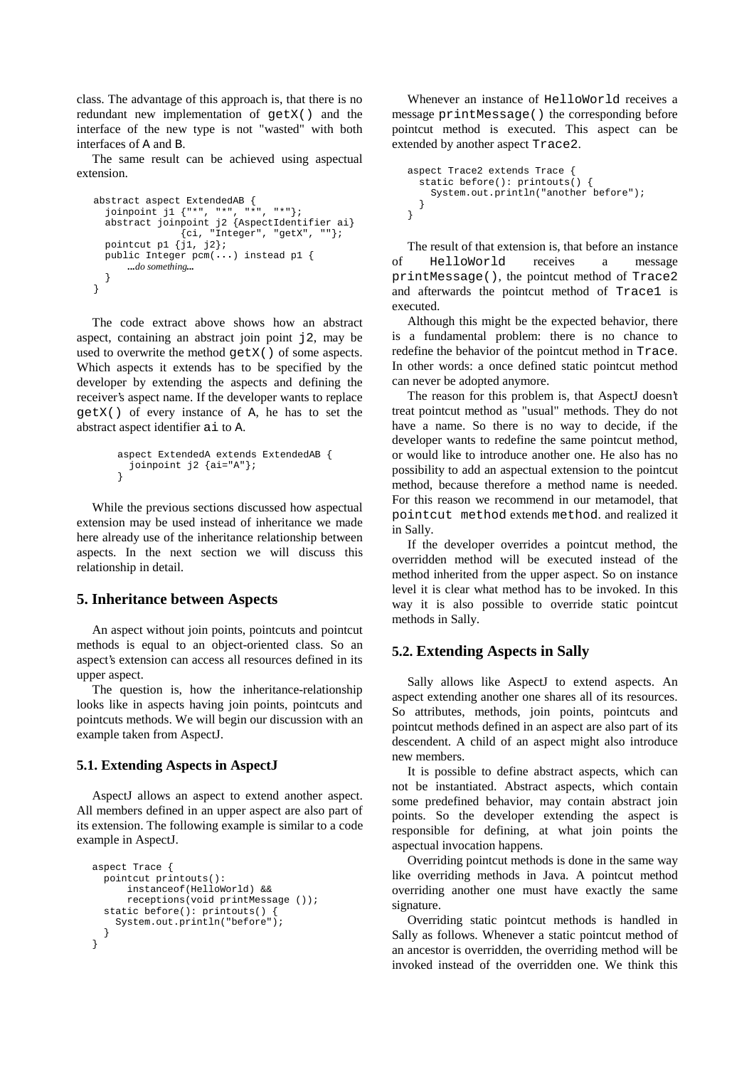class. The advantage of this approach is, that there is no redundant new implementation of getX() and the interface of the new type is not "wasted" with both interfaces of A and B.

The same result can be achieved using aspectual extension.

```
abstract aspect ExtendedAB {
 joinpoint j1 {"*", "*", "*", "*"};
 abstract joinpoint j2 {AspectIdentifier ai}
 {ci, "Integer", "getX", ""};
  pointcut p1 \{j1, j2\};
  public Integer pcm(...) instead p1 {
     ...do something...
   }
}
```
The code extract above shows how an abstract aspect, containing an abstract join point j2, may be used to overwrite the method getX() of some aspects. Which aspects it extends has to be specified by the developer by extending the aspects and defining the receiver's aspect name. If the developer wants to replace getX() of every instance of A, he has to set the abstract aspect identifier ai to A.

```
aspect ExtendedA extends ExtendedAB {
 joinpoint j2 \{ai="A"\};
}
```
While the previous sections discussed how aspectual extension may be used instead of inheritance we made here already use of the inheritance relationship between aspects. In the next section we will discuss this relationship in detail.

# **5. Inheritance between Aspects**

An aspect without join points, pointcuts and pointcut methods is equal to an object-oriented class. So an aspect's extension can access all resources defined in its upper aspect.

The question is, how the inheritance-relationship looks like in aspects having join points, pointcuts and pointcuts methods. We will begin our discussion with an example taken from AspectJ.

## **5.1. Extending Aspects in AspectJ**

AspectJ allows an aspect to extend another aspect. All members defined in an upper aspect are also part of its extension. The following example is similar to a code example in AspectJ.

```
aspect Trace {
  pointcut printouts():
       instanceof(HelloWorld) &&
       receptions(void printMessage ());
   static before(): printouts() {
     System.out.println("before");
   }
}
```
Whenever an instance of HelloWorld receives a message printMessage() the corresponding before pointcut method is executed. This aspect can be extended by another aspect Trace2.

```
aspect Trace2 extends Trace {
  static before(): printouts() {
     System.out.println("another before");
  }
}
```
The result of that extension is, that before an instance of HelloWorld receives a message printMessage(), the pointcut method of Trace2 and afterwards the pointcut method of Trace1 is executed.

Although this might be the expected behavior, there is a fundamental problem: there is no chance to redefine the behavior of the pointcut method in Trace. In other words: a once defined static pointcut method can never be adopted anymore.

The reason for this problem is, that AspectJ doesn't treat pointcut method as "usual" methods. They do not have a name. So there is no way to decide, if the developer wants to redefine the same pointcut method, or would like to introduce another one. He also has no possibility to add an aspectual extension to the pointcut method, because therefore a method name is needed. For this reason we recommend in our metamodel, that pointcut method extends method. and realized it in Sally.

If the developer overrides a pointcut method, the overridden method will be executed instead of the method inherited from the upper aspect. So on instance level it is clear what method has to be invoked. In this way it is also possible to override static pointcut methods in Sally.

# **5.2. Extending Aspects in Sally**

Sally allows like AspectJ to extend aspects. An aspect extending another one shares all of its resources. So attributes, methods, join points, pointcuts and pointcut methods defined in an aspect are also part of its descendent. A child of an aspect might also introduce new members.

It is possible to define abstract aspects, which can not be instantiated. Abstract aspects, which contain some predefined behavior, may contain abstract join points. So the developer extending the aspect is responsible for defining, at what join points the aspectual invocation happens.

Overriding pointcut methods is done in the same way like overriding methods in Java. A pointcut method overriding another one must have exactly the same signature.

Overriding static pointcut methods is handled in Sally as follows. Whenever a static pointcut method of an ancestor is overridden, the overriding method will be invoked instead of the overridden one. We think this